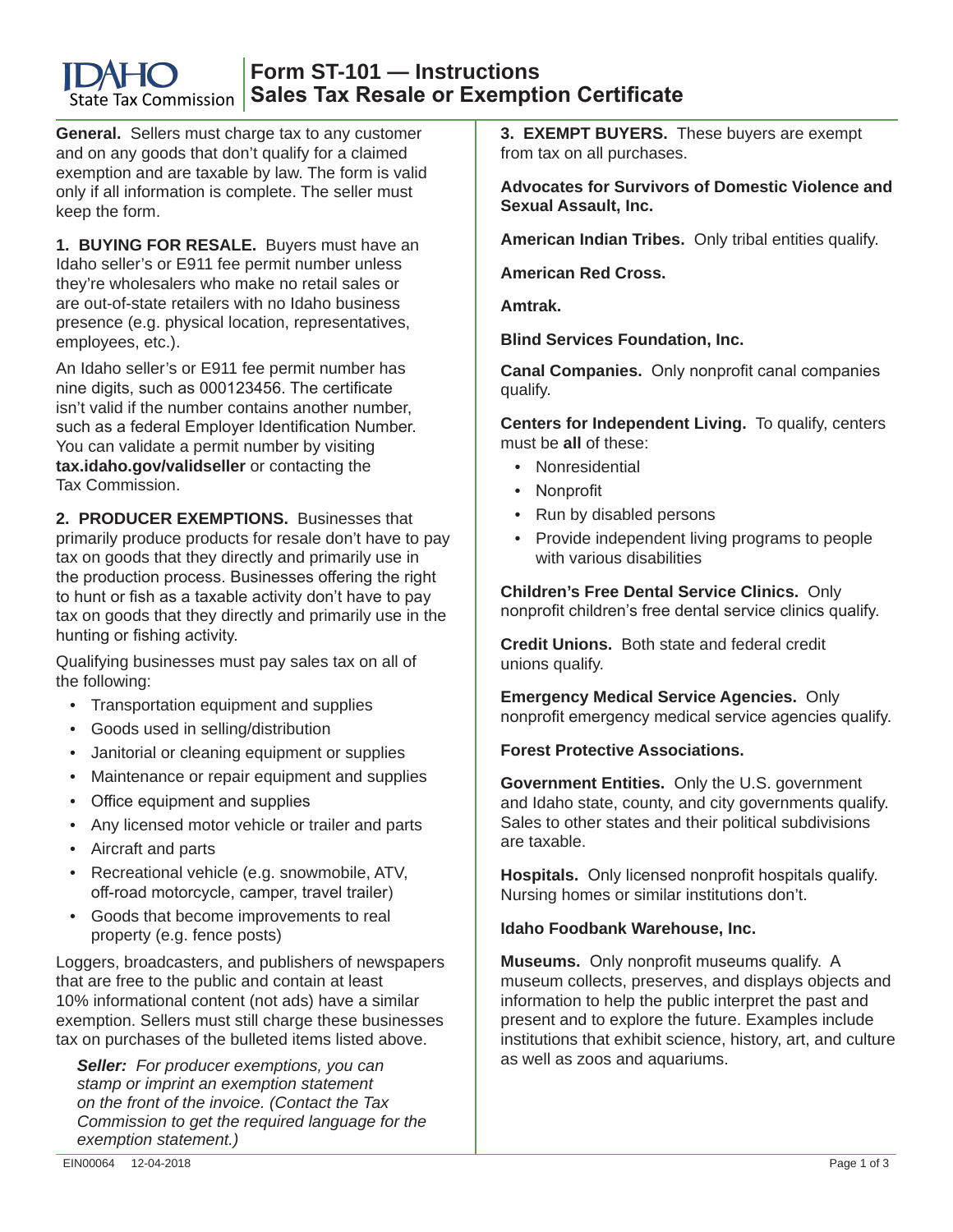#### **Form ST-101 — Instructions Sales Tax Resale or Exemption Certificate** State Tax Commission

**General.** Sellers must charge tax to any customer and on any goods that don't qualify for a claimed exemption and are taxable by law. The form is valid only if all information is complete. The seller must keep the form.

**1. BUYING FOR RESALE.** Buyers must have an Idaho seller's or E911 fee permit number unless they're wholesalers who make no retail sales or are out-of-state retailers with no Idaho business presence (e.g. physical location, representatives, employees, etc.).

An Idaho seller's or E911 fee permit number has nine digits, such as 000123456. The certificate isn't valid if the number contains another number, such as a federal Employer Identification Number. You can validate a permit number by visiting **tax.idaho.gov/validseller** or contacting the Tax Commission.

**2. PRODUCER EXEMPTIONS.** Businesses that primarily produce products for resale don't have to pay tax on goods that they directly and primarily use in the production process. Businesses offering the right to hunt or fish as a taxable activity don't have to pay tax on goods that they directly and primarily use in the hunting or fishing activity.

Qualifying businesses must pay sales tax on all of the following:

- Transportation equipment and supplies
- Goods used in selling/distribution
- Janitorial or cleaning equipment or supplies
- Maintenance or repair equipment and supplies
- Office equipment and supplies
- Any licensed motor vehicle or trailer and parts
- Aircraft and parts
- Recreational vehicle (e.g. snowmobile, ATV, off-road motorcycle, camper, travel trailer)
- Goods that become improvements to real property (e.g. fence posts)

Loggers, broadcasters, and publishers of newspapers that are free to the public and contain at least 10% informational content (not ads) have a similar exemption. Sellers must still charge these businesses tax on purchases of the bulleted items listed above.

*Seller: For producer exemptions, you can stamp or imprint an exemption statement on the front of the invoice. (Contact the Tax Commission to get the required language for the exemption statement.)*

**3. EXEMPT BUYERS.** These buyers are exempt from tax on all purchases.

**Advocates for Survivors of Domestic Violence and Sexual Assault, Inc.** 

**American Indian Tribes.** Only tribal entities qualify.

**American Red Cross.**

**Amtrak.** 

**Blind Services Foundation, Inc.**

**Canal Companies.** Only nonprofit canal companies qualify.

**Centers for Independent Living.** To qualify, centers must be **all** of these:

- Nonresidential
- Nonprofit
- Run by disabled persons
- Provide independent living programs to people with various disabilities

**Children's Free Dental Service Clinics.** Only nonprofit children's free dental service clinics qualify.

**Credit Unions.** Both state and federal credit unions qualify.

**Emergency Medical Service Agencies.** Only nonprofit emergency medical service agencies qualify.

**Forest Protective Associations.**

**Government Entities.** Only the U.S. government and Idaho state, county, and city governments qualify. Sales to other states and their political subdivisions are taxable.

**Hospitals.** Only licensed nonprofit hospitals qualify. Nursing homes or similar institutions don't.

## **Idaho Foodbank Warehouse, Inc.**

**Museums.** Only nonprofit museums qualify. A museum collects, preserves, and displays objects and information to help the public interpret the past and present and to explore the future. Examples include institutions that exhibit science, history, art, and culture as well as zoos and aquariums.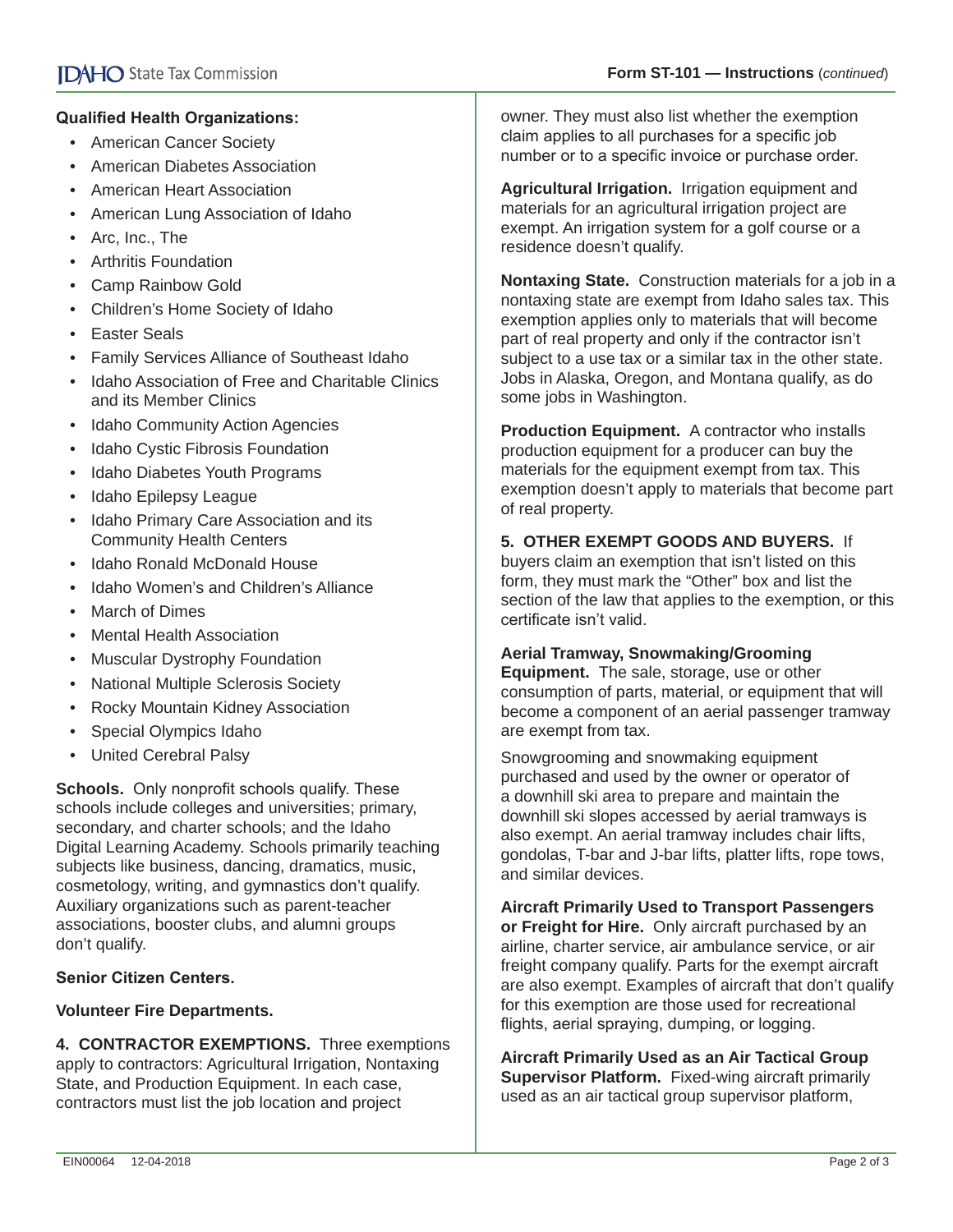## **Qualified Health Organizations:**

- American Cancer Society
- American Diabetes Association
- American Heart Association
- American Lung Association of Idaho
- Arc, Inc., The
- Arthritis Foundation
- Camp Rainbow Gold
- Children's Home Society of Idaho
- Easter Seals
- Family Services Alliance of Southeast Idaho
- Idaho Association of Free and Charitable Clinics and its Member Clinics
- Idaho Community Action Agencies
- Idaho Cystic Fibrosis Foundation
- Idaho Diabetes Youth Programs
- Idaho Epilepsy League
- Idaho Primary Care Association and its Community Health Centers
- Idaho Ronald McDonald House
- Idaho Women's and Children's Alliance
- March of Dimes
- Mental Health Association
- Muscular Dystrophy Foundation
- National Multiple Sclerosis Society
- Rocky Mountain Kidney Association
- Special Olympics Idaho
- United Cerebral Palsy

**Schools.** Only nonprofit schools qualify. These schools include colleges and universities; primary, secondary, and charter schools; and the Idaho Digital Learning Academy. Schools primarily teaching subjects like business, dancing, dramatics, music, cosmetology, writing, and gymnastics don't qualify. Auxiliary organizations such as parent-teacher associations, booster clubs, and alumni groups don't qualify.

### **Senior Citizen Centers.**

### **Volunteer Fire Departments.**

**4. CONTRACTOR EXEMPTIONS.** Three exemptions apply to contractors: Agricultural Irrigation, Nontaxing State, and Production Equipment. In each case, contractors must list the job location and project

owner. They must also list whether the exemption claim applies to all purchases for a specific job number or to a specific invoice or purchase order.

**Agricultural Irrigation.** Irrigation equipment and materials for an agricultural irrigation project are exempt. An irrigation system for a golf course or a residence doesn't qualify.

**Nontaxing State.** Construction materials for a job in a nontaxing state are exempt from Idaho sales tax. This exemption applies only to materials that will become part of real property and only if the contractor isn't subject to a use tax or a similar tax in the other state. Jobs in Alaska, Oregon, and Montana qualify, as do some jobs in Washington.

**Production Equipment.** A contractor who installs production equipment for a producer can buy the materials for the equipment exempt from tax. This exemption doesn't apply to materials that become part of real property.

# **5. OTHER EXEMPT GOODS AND BUYERS.** If

buyers claim an exemption that isn't listed on this form, they must mark the "Other" box and list the section of the law that applies to the exemption, or this certificate isn't valid.

### **Aerial Tramway, Snowmaking/Grooming**

**Equipment.** The sale, storage, use or other consumption of parts, material, or equipment that will become a component of an aerial passenger tramway are exempt from tax.

Snowgrooming and snowmaking equipment purchased and used by the owner or operator of a downhill ski area to prepare and maintain the downhill ski slopes accessed by aerial tramways is also exempt. An aerial tramway includes chair lifts, gondolas, T-bar and J-bar lifts, platter lifts, rope tows, and similar devices.

**Aircraft Primarily Used to Transport Passengers or Freight for Hire.** Only aircraft purchased by an airline, charter service, air ambulance service, or air freight company qualify. Parts for the exempt aircraft are also exempt. Examples of aircraft that don't qualify for this exemption are those used for recreational flights, aerial spraying, dumping, or logging.

**Aircraft Primarily Used as an Air Tactical Group Supervisor Platform.** Fixed-wing aircraft primarily used as an air tactical group supervisor platform,